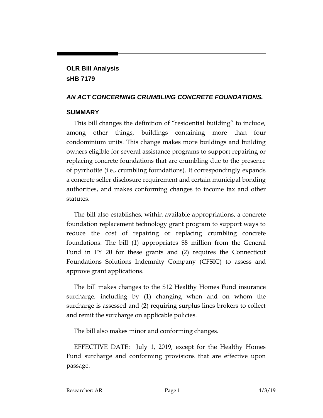**OLR Bill Analysis sHB 7179**

#### *AN ACT CONCERNING CRUMBLING CONCRETE FOUNDATIONS.*

#### **SUMMARY**

This bill changes the definition of "residential building" to include, among other things, buildings containing more than four condominium units. This change makes more buildings and building owners eligible for several assistance programs to support repairing or replacing concrete foundations that are crumbling due to the presence of pyrrhotite (i.e., crumbling foundations). It correspondingly expands a concrete seller disclosure requirement and certain municipal bonding authorities, and makes conforming changes to income tax and other statutes.

The bill also establishes, within available appropriations, a concrete foundation replacement technology grant program to support ways to reduce the cost of repairing or replacing crumbling concrete foundations. The bill (1) appropriates \$8 million from the General Fund in FY 20 for these grants and (2) requires the Connecticut Foundations Solutions Indemnity Company (CFSIC) to assess and approve grant applications.

The bill makes changes to the \$12 Healthy Homes Fund insurance surcharge, including by (1) changing when and on whom the surcharge is assessed and (2) requiring surplus lines brokers to collect and remit the surcharge on applicable policies.

The bill also makes minor and conforming changes.

EFFECTIVE DATE: July 1, 2019, except for the Healthy Homes Fund surcharge and conforming provisions that are effective upon passage.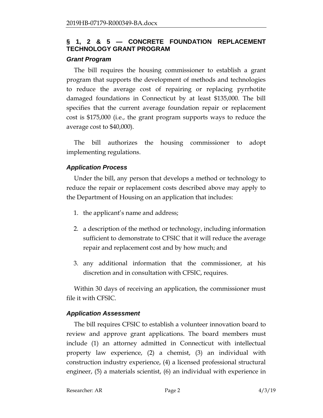### **§ 1, 2 & 5 — CONCRETE FOUNDATION REPLACEMENT TECHNOLOGY GRANT PROGRAM**

#### *Grant Program*

The bill requires the housing commissioner to establish a grant program that supports the development of methods and technologies to reduce the average cost of repairing or replacing pyrrhotite damaged foundations in Connecticut by at least \$135,000. The bill specifies that the current average foundation repair or replacement cost is \$175,000 (i.e., the grant program supports ways to reduce the average cost to \$40,000).

The bill authorizes the housing commissioner to adopt implementing regulations.

### *Application Process*

Under the bill, any person that develops a method or technology to reduce the repair or replacement costs described above may apply to the Department of Housing on an application that includes:

- 1. the applicant's name and address;
- 2. a description of the method or technology, including information sufficient to demonstrate to CFSIC that it will reduce the average repair and replacement cost and by how much; and
- 3. any additional information that the commissioner, at his discretion and in consultation with CFSIC, requires.

Within 30 days of receiving an application, the commissioner must file it with CFSIC.

# *Application Assessment*

The bill requires CFSIC to establish a volunteer innovation board to review and approve grant applications. The board members must include (1) an attorney admitted in Connecticut with intellectual property law experience, (2) a chemist, (3) an individual with construction industry experience, (4) a licensed professional structural engineer, (5) a materials scientist, (6) an individual with experience in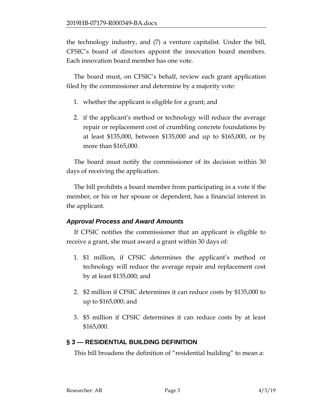the technology industry, and (7) a venture capitalist. Under the bill, CFSIC's board of directors appoint the innovation board members. Each innovation board member has one vote.

The board must, on CFSIC's behalf, review each grant application filed by the commissioner and determine by a majority vote:

- 1. whether the applicant is eligible for a grant; and
- 2. if the applicant's method or technology will reduce the average repair or replacement cost of crumbling concrete foundations by at least \$135,000, between \$135,000 and up to \$165,000, or by more than \$165,000.

The board must notify the commissioner of its decision within 30 days of receiving the application.

The bill prohibits a board member from participating in a vote if the member, or his or her spouse or dependent, has a financial interest in the applicant.

# *Approval Process and Award Amounts*

If CFSIC notifies the commissioner that an applicant is eligible to receive a grant, she must award a grant within 30 days of:

- 1. \$1 million, if CFSIC determines the applicant's method or technology will reduce the average repair and replacement cost by at least \$135,000; and
- 2. \$2 million if CFSIC determines it can reduce costs by \$135,000 to up to \$165,000; and
- 3. \$5 million if CFSIC determines it can reduce costs by at least \$165,000.

# **§ 3 — RESIDENTIAL BUILDING DEFINITION**

This bill broadens the definition of "residential building" to mean a: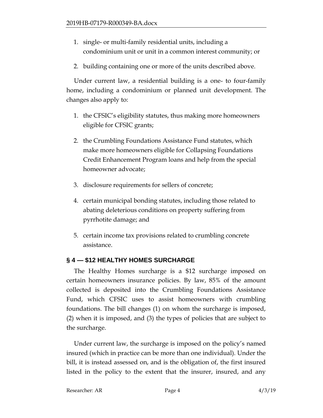- 1. single- or multi-family residential units, including a condominium unit or unit in a common interest community; or
- 2. building containing one or more of the units described above.

Under current law, a residential building is a one- to four-family home, including a condominium or planned unit development. The changes also apply to:

- 1. the CFSIC's eligibility statutes, thus making more homeowners eligible for CFSIC grants;
- 2. the Crumbling Foundations Assistance Fund statutes, which make more homeowners eligible for Collapsing Foundations Credit Enhancement Program loans and help from the special homeowner advocate;
- 3. disclosure requirements for sellers of concrete;
- 4. certain municipal bonding statutes, including those related to abating deleterious conditions on property suffering from pyrrhotite damage; and
- 5. certain income tax provisions related to crumbling concrete assistance.

# **§ 4 — \$12 HEALTHY HOMES SURCHARGE**

The Healthy Homes surcharge is a \$12 surcharge imposed on certain homeowners insurance policies. By law, 85% of the amount collected is deposited into the Crumbling Foundations Assistance Fund, which CFSIC uses to assist homeowners with crumbling foundations. The bill changes (1) on whom the surcharge is imposed, (2) when it is imposed, and (3) the types of policies that are subject to the surcharge.

Under current law, the surcharge is imposed on the policy's named insured (which in practice can be more than one individual). Under the bill, it is instead assessed on, and is the obligation of, the first insured listed in the policy to the extent that the insurer, insured, and any